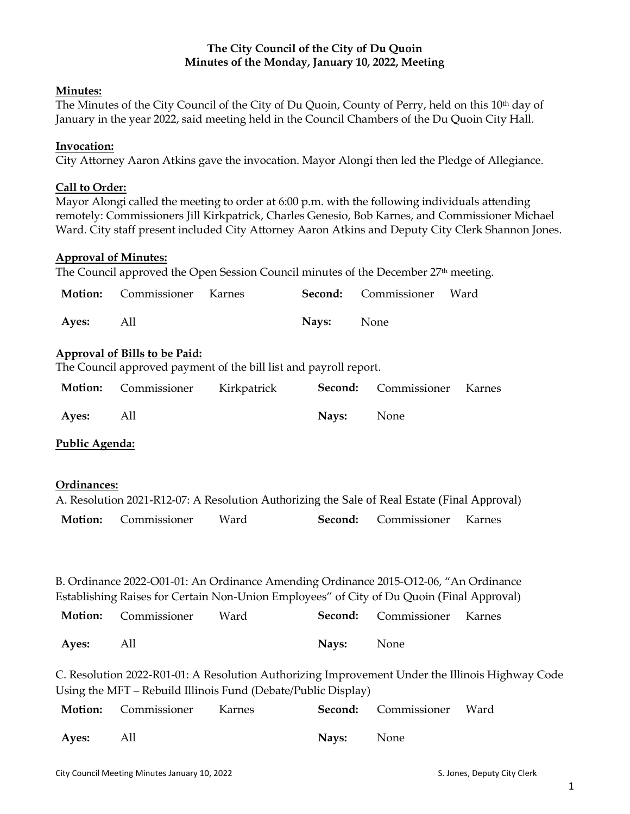# **The City Council of the City of Du Quoin Minutes of the Monday, January 10, 2022, Meeting**

## **Minutes:**

The Minutes of the City Council of the City of Du Quoin, County of Perry, held on this 10th day of January in the year 2022, said meeting held in the Council Chambers of the Du Quoin City Hall.

## **Invocation:**

City Attorney Aaron Atkins gave the invocation. Mayor Alongi then led the Pledge of Allegiance.

## **Call to Order:**

Mayor Alongi called the meeting to order at 6:00 p.m. with the following individuals attending remotely: Commissioners Jill Kirkpatrick, Charles Genesio, Bob Karnes, and Commissioner Michael Ward. City staff present included City Attorney Aaron Atkins and Deputy City Clerk Shannon Jones.

## **Approval of Minutes:**

The Council approved the Open Session Council minutes of the December 27<sup>th</sup> meeting.

| Motion:                                                                                                                                                                           | Commissioner                                                  | Karnes      | Second: | Commissioner                                                                                                 | Ward                                                                                            |  |  |  |
|-----------------------------------------------------------------------------------------------------------------------------------------------------------------------------------|---------------------------------------------------------------|-------------|---------|--------------------------------------------------------------------------------------------------------------|-------------------------------------------------------------------------------------------------|--|--|--|
| Ayes:                                                                                                                                                                             | All                                                           |             | Nays:   | None                                                                                                         |                                                                                                 |  |  |  |
| <b>Approval of Bills to be Paid:</b><br>The Council approved payment of the bill list and payroll report.                                                                         |                                                               |             |         |                                                                                                              |                                                                                                 |  |  |  |
| Motion:                                                                                                                                                                           | Commissioner                                                  | Kirkpatrick | Second: | Commissioner                                                                                                 | Karnes                                                                                          |  |  |  |
| Ayes:                                                                                                                                                                             | All                                                           |             | Nays:   | None                                                                                                         |                                                                                                 |  |  |  |
| Public Agenda:                                                                                                                                                                    |                                                               |             |         |                                                                                                              |                                                                                                 |  |  |  |
| Ordinances:<br>Motion:                                                                                                                                                            | Commissioner                                                  | Ward        | Second: | A. Resolution 2021-R12-07: A Resolution Authorizing the Sale of Real Estate (Final Approval)<br>Commissioner | Karnes                                                                                          |  |  |  |
| B. Ordinance 2022-O01-01: An Ordinance Amending Ordinance 2015-O12-06, "An Ordinance<br>Establishing Raises for Certain Non-Union Employees" of City of Du Quoin (Final Approval) |                                                               |             |         |                                                                                                              |                                                                                                 |  |  |  |
| Motion:                                                                                                                                                                           | Commissioner                                                  | Ward        | Second: | Commissioner                                                                                                 | Karnes                                                                                          |  |  |  |
| Ayes:                                                                                                                                                                             | All                                                           |             | Nays:   | None                                                                                                         |                                                                                                 |  |  |  |
|                                                                                                                                                                                   | Using the MFT - Rebuild Illinois Fund (Debate/Public Display) |             |         |                                                                                                              | C. Resolution 2022-R01-01: A Resolution Authorizing Improvement Under the Illinois Highway Code |  |  |  |
| Motion:                                                                                                                                                                           | Commissioner                                                  | Karnes      | Second: | Commissioner                                                                                                 | Ward                                                                                            |  |  |  |
| Ayes:                                                                                                                                                                             | All                                                           |             | Nays:   | None                                                                                                         |                                                                                                 |  |  |  |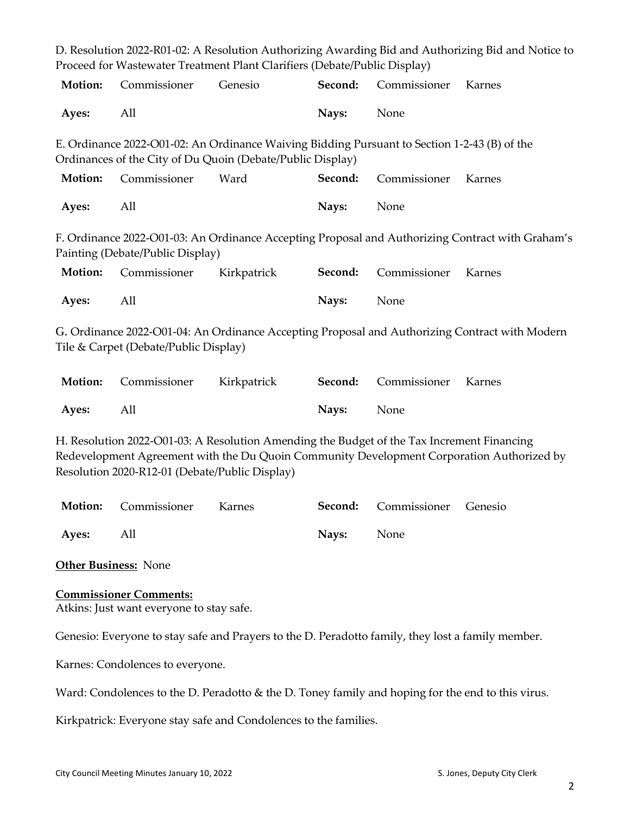|                                                                                                                                                                                                                                           |              |                                                                           |         |              | D. Resolution 2022-R01-02: A Resolution Authorizing Awarding Bid and Authorizing Bid and Notice to |  |  |  |
|-------------------------------------------------------------------------------------------------------------------------------------------------------------------------------------------------------------------------------------------|--------------|---------------------------------------------------------------------------|---------|--------------|----------------------------------------------------------------------------------------------------|--|--|--|
|                                                                                                                                                                                                                                           |              | Proceed for Wastewater Treatment Plant Clarifiers (Debate/Public Display) |         |              |                                                                                                    |  |  |  |
| Motion:                                                                                                                                                                                                                                   | Commissioner | Genesio                                                                   | Second: | Commissioner | Karnes                                                                                             |  |  |  |
| Ayes:                                                                                                                                                                                                                                     | All          |                                                                           | Nays:   | None         |                                                                                                    |  |  |  |
| E. Ordinance 2022-O01-02: An Ordinance Waiving Bidding Pursuant to Section 1-2-43 (B) of the<br>Ordinances of the City of Du Quoin (Debate/Public Display)                                                                                |              |                                                                           |         |              |                                                                                                    |  |  |  |
| Motion:                                                                                                                                                                                                                                   | Commissioner | Ward                                                                      | Second: | Commissioner | Karnes                                                                                             |  |  |  |
| Ayes:                                                                                                                                                                                                                                     | All          |                                                                           | Nays:   | None         |                                                                                                    |  |  |  |
| F. Ordinance 2022-O01-03: An Ordinance Accepting Proposal and Authorizing Contract with Graham's<br>Painting (Debate/Public Display)                                                                                                      |              |                                                                           |         |              |                                                                                                    |  |  |  |
| Motion:                                                                                                                                                                                                                                   | Commissioner | Kirkpatrick                                                               | Second: | Commissioner | Karnes                                                                                             |  |  |  |
| Ayes:                                                                                                                                                                                                                                     | All          |                                                                           | Nays:   | None         |                                                                                                    |  |  |  |
| G. Ordinance 2022-O01-04: An Ordinance Accepting Proposal and Authorizing Contract with Modern<br>Tile & Carpet (Debate/Public Display)                                                                                                   |              |                                                                           |         |              |                                                                                                    |  |  |  |
| Motion:                                                                                                                                                                                                                                   | Commissioner | Kirkpatrick                                                               | Second: | Commissioner | Karnes                                                                                             |  |  |  |
| Ayes:                                                                                                                                                                                                                                     | All          |                                                                           | Nays:   | None         |                                                                                                    |  |  |  |
| H. Resolution 2022-O01-03: A Resolution Amending the Budget of the Tax Increment Financing<br>Redevelopment Agreement with the Du Quoin Community Development Corporation Authorized by<br>Resolution 2020-R12-01 (Debate/Public Display) |              |                                                                           |         |              |                                                                                                    |  |  |  |
| Motion:                                                                                                                                                                                                                                   | Commissioner | Karnes                                                                    | Second: | Commissioner | Genesio                                                                                            |  |  |  |
| Ayes:                                                                                                                                                                                                                                     | All          |                                                                           | Nays:   | None         |                                                                                                    |  |  |  |

**Other Business:** None

## **Commissioner Comments:**

Atkins: Just want everyone to stay safe.

Genesio: Everyone to stay safe and Prayers to the D. Peradotto family, they lost a family member.

Karnes: Condolences to everyone.

Ward: Condolences to the D. Peradotto & the D. Toney family and hoping for the end to this virus.

Kirkpatrick: Everyone stay safe and Condolences to the families.